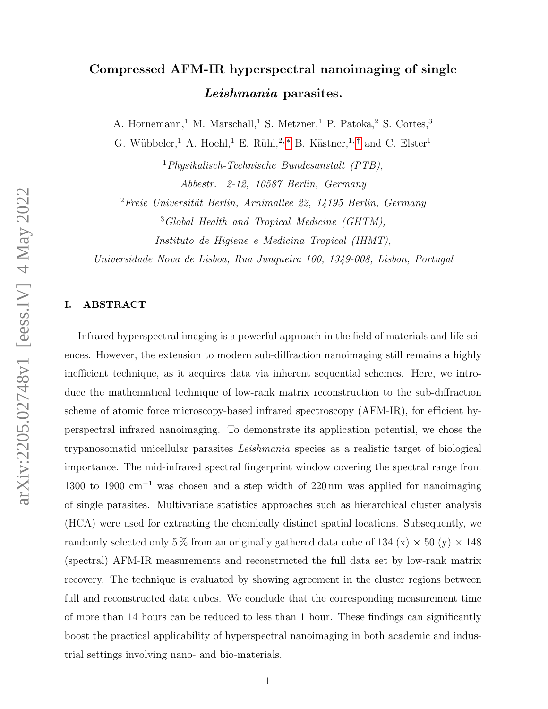# Compressed AFM-IR hyperspectral nanoimaging of single Leishmania parasites.

A. Hornemann,<sup>1</sup> M. Marschall,<sup>1</sup> S. Metzner,<sup>1</sup> P. Patoka,<sup>2</sup> S. Cortes,<sup>3</sup>

G. Wübbeler,<sup>1</sup> A. Hoehl,<sup>1</sup> E. Rühl,<sup>2,\*</sup> B. Kästner,<sup>1,[†](#page-11-1)</sup> and C. Elster<sup>1</sup>

<sup>1</sup>Physikalisch-Technische Bundesanstalt (PTB), Abbestr. 2-12, 10587 Berlin, Germany

 ${}^{2}$ Freie Universität Berlin, Arnimallee 22, 14195 Berlin, Germany <sup>3</sup>Global Health and Tropical Medicine (GHTM),

Instituto de Higiene e Medicina Tropical (IHMT),

Universidade Nova de Lisboa, Rua Junqueira 100, 1349-008, Lisbon, Portugal

# I. ABSTRACT

Infrared hyperspectral imaging is a powerful approach in the field of materials and life sciences. However, the extension to modern sub-diffraction nanoimaging still remains a highly inefficient technique, as it acquires data via inherent sequential schemes. Here, we introduce the mathematical technique of low-rank matrix reconstruction to the sub-diffraction scheme of atomic force microscopy-based infrared spectroscopy (AFM-IR), for efficient hyperspectral infrared nanoimaging. To demonstrate its application potential, we chose the trypanosomatid unicellular parasites Leishmania species as a realistic target of biological importance. The mid-infrared spectral fingerprint window covering the spectral range from 1300 to 1900 cm<sup>−</sup><sup>1</sup> was chosen and a step width of 220 nm was applied for nanoimaging of single parasites. Multivariate statistics approaches such as hierarchical cluster analysis (HCA) were used for extracting the chemically distinct spatial locations. Subsequently, we randomly selected only 5% from an originally gathered data cube of 134 (x)  $\times$  50 (y)  $\times$  148 (spectral) AFM-IR measurements and reconstructed the full data set by low-rank matrix recovery. The technique is evaluated by showing agreement in the cluster regions between full and reconstructed data cubes. We conclude that the corresponding measurement time of more than 14 hours can be reduced to less than 1 hour. These findings can significantly boost the practical applicability of hyperspectral nanoimaging in both academic and industrial settings involving nano- and bio-materials.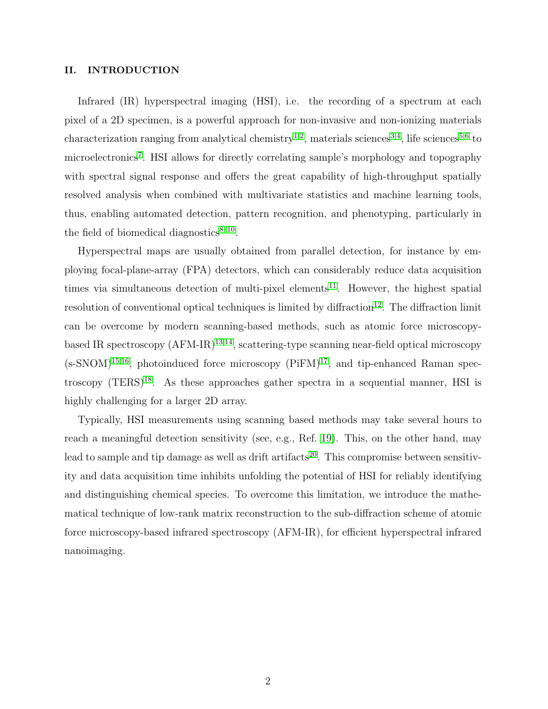#### II. INTRODUCTION

Infrared (IR) hyperspectral imaging (HSI), i.e. the recording of a spectrum at each pixel of a 2D specimen, is a powerful approach for non-invasive and non-ionizing materials characterization ranging from analytical chemistry<sup>[1,](#page-11-2)[2](#page-11-3)</sup>, materials sciences<sup>[3](#page-11-4)[,4](#page-11-5)</sup>, life sciences<sup>[5](#page-11-6)[,6](#page-11-7)</sup> to microelectronics<sup>[7](#page-11-8)</sup>. HSI allows for directly correlating sample's morphology and topography with spectral signal response and offers the great capability of high-throughput spatially resolved analysis when combined with multivariate statistics and machine learning tools, thus, enabling automated detection, pattern recognition, and phenotyping, particularly in the field of biomedical diagnostics $8-10$  $8-10$ .

Hyperspectral maps are usually obtained from parallel detection, for instance by employing focal-plane-array (FPA) detectors, which can considerably reduce data acquisition times via simultaneous detection of multi-pixel elements<sup>[11](#page-11-11)</sup>. However, the highest spatial resolution of conventional optical techniques is limited by diffraction<sup>[12](#page-11-12)</sup>. The diffraction limit can be overcome by modern scanning-based methods, such as atomic force microscopybased IR spectroscopy  $(AFM-IR)^{13,14}$  $(AFM-IR)^{13,14}$  $(AFM-IR)^{13,14}$  $(AFM-IR)^{13,14}$ , scattering-type scanning near-field optical microscopy  $(s\text{-SNOM})^{15,16}$  $(s\text{-SNOM})^{15,16}$  $(s\text{-SNOM})^{15,16}$  $(s\text{-SNOM})^{15,16}$ , photoinduced force microscopy (PiFM)<sup>[17](#page-12-3)</sup>, and tip-enhanced Raman spectroscopy  $(TERS)^{18}$  $(TERS)^{18}$  $(TERS)^{18}$ . As these approaches gather spectra in a sequential manner, HSI is highly challenging for a larger 2D array.

Typically, HSI measurements using scanning based methods may take several hours to reach a meaningful detection sensitivity (see, e.g., Ref. [19\)](#page-12-5). This, on the other hand, may lead to sample and tip damage as well as drift artifacts<sup>[20](#page-12-6)</sup>. This compromise between sensitivity and data acquisition time inhibits unfolding the potential of HSI for reliably identifying and distinguishing chemical species. To overcome this limitation, we introduce the mathematical technique of low-rank matrix reconstruction to the sub-diffraction scheme of atomic force microscopy-based infrared spectroscopy (AFM-IR), for efficient hyperspectral infrared nanoimaging.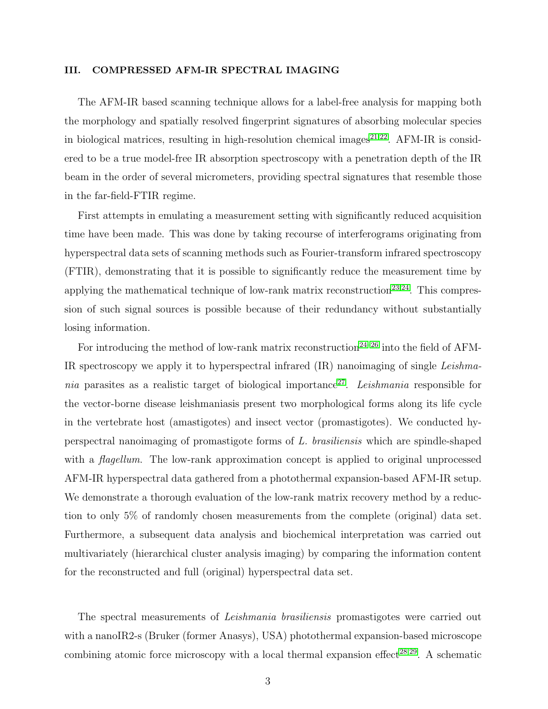#### III. COMPRESSED AFM-IR SPECTRAL IMAGING

The AFM-IR based scanning technique allows for a label-free analysis for mapping both the morphology and spatially resolved fingerprint signatures of absorbing molecular species in biological matrices, resulting in high-resolution chemical images<sup>[21](#page-12-7)[,22](#page-12-8)</sup>. AFM-IR is considered to be a true model-free IR absorption spectroscopy with a penetration depth of the IR beam in the order of several micrometers, providing spectral signatures that resemble those in the far-field-FTIR regime.

First attempts in emulating a measurement setting with significantly reduced acquisition time have been made. This was done by taking recourse of interferograms originating from hyperspectral data sets of scanning methods such as Fourier-transform infrared spectroscopy (FTIR), demonstrating that it is possible to significantly reduce the measurement time by applying the mathematical technique of low-rank matrix reconstruction<sup>[23,](#page-12-9)[24](#page-12-10)</sup>. This compression of such signal sources is possible because of their redundancy without substantially losing information.

For introducing the method of low-rank matrix reconstruction<sup>[24](#page-12-10)[–26](#page-12-11)</sup> into the field of AFM-IR spectroscopy we apply it to hyperspectral infrared (IR) nanoimaging of single Leishma-nia parasites as a realistic target of biological importance<sup>[27](#page-12-12)</sup>. Leishmania responsible for the vector-borne disease leishmaniasis present two morphological forms along its life cycle in the vertebrate host (amastigotes) and insect vector (promastigotes). We conducted hyperspectral nanoimaging of promastigote forms of L. brasiliensis which are spindle-shaped with a *flagellum*. The low-rank approximation concept is applied to original unprocessed AFM-IR hyperspectral data gathered from a photothermal expansion-based AFM-IR setup. We demonstrate a thorough evaluation of the low-rank matrix recovery method by a reduction to only 5% of randomly chosen measurements from the complete (original) data set. Furthermore, a subsequent data analysis and biochemical interpretation was carried out multivariately (hierarchical cluster analysis imaging) by comparing the information content for the reconstructed and full (original) hyperspectral data set.

The spectral measurements of Leishmania brasiliensis promastigotes were carried out with a nanoIR2-s (Bruker (former Anasys), USA) photothermal expansion-based microscope combining atomic force microscopy with a local thermal expansion effect<sup>[28](#page-13-0)[,29](#page-13-1)</sup>. A schematic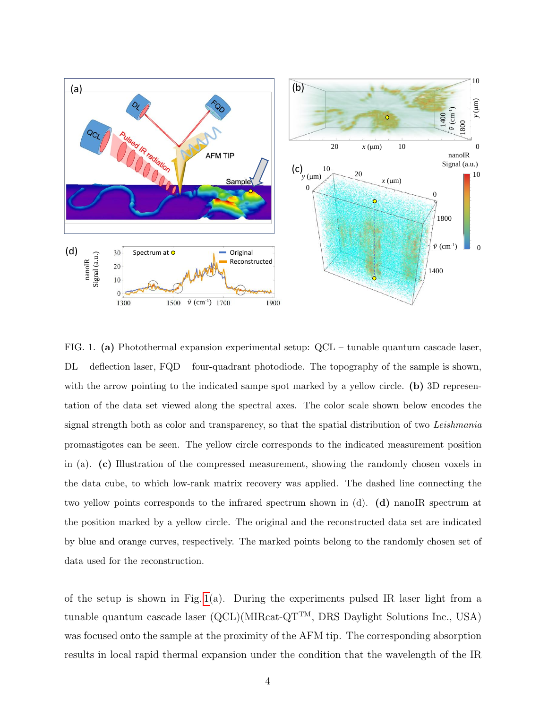

<span id="page-3-0"></span>FIG. 1. (a) Photothermal expansion experimental setup: QCL – tunable quantum cascade laser,  $DL$  – deflection laser,  $FQD$  – four-quadrant photodiode. The topography of the sample is shown, with the arrow pointing to the indicated sampe spot marked by a yellow circle. (b) 3D representation of the data set viewed along the spectral axes. The color scale shown below encodes the signal strength both as color and transparency, so that the spatial distribution of two Leishmania promastigotes can be seen. The yellow circle corresponds to the indicated measurement position in (a). (c) Illustration of the compressed measurement, showing the randomly chosen voxels in the data cube, to which low-rank matrix recovery was applied. The dashed line connecting the two yellow points corresponds to the infrared spectrum shown in (d). (d) nanoIR spectrum at the position marked by a yellow circle. The original and the reconstructed data set are indicated by blue and orange curves, respectively. The marked points belong to the randomly chosen set of data used for the reconstruction.

of the setup is shown in Fig. [1\(](#page-3-0)a). During the experiments pulsed IR laser light from a tunable quantum cascade laser (QCL)(MIRcat-QTTM, DRS Daylight Solutions Inc., USA) was focused onto the sample at the proximity of the AFM tip. The corresponding absorption results in local rapid thermal expansion under the condition that the wavelength of the IR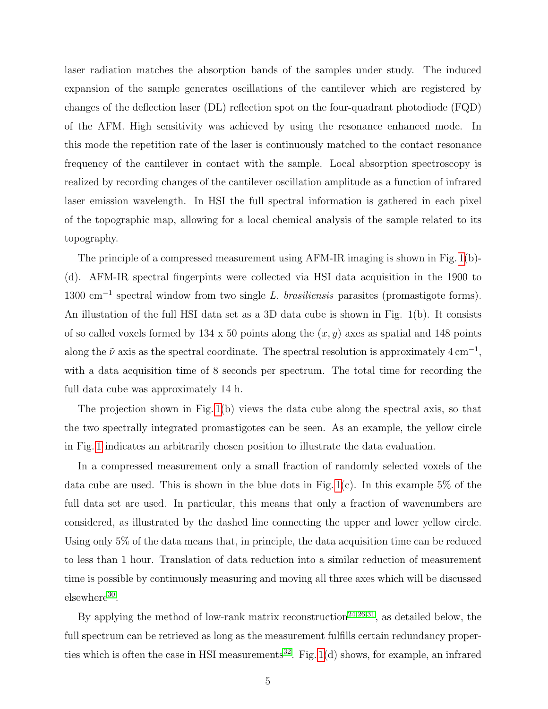laser radiation matches the absorption bands of the samples under study. The induced expansion of the sample generates oscillations of the cantilever which are registered by changes of the deflection laser (DL) reflection spot on the four-quadrant photodiode (FQD) of the AFM. High sensitivity was achieved by using the resonance enhanced mode. In this mode the repetition rate of the laser is continuously matched to the contact resonance frequency of the cantilever in contact with the sample. Local absorption spectroscopy is realized by recording changes of the cantilever oscillation amplitude as a function of infrared laser emission wavelength. In HSI the full spectral information is gathered in each pixel of the topographic map, allowing for a local chemical analysis of the sample related to its topography.

The principle of a compressed measurement using AFM-IR imaging is shown in Fig. [1\(](#page-3-0)b)- (d). AFM-IR spectral fingerpints were collected via HSI data acquisition in the 1900 to 1300 cm<sup>-1</sup> spectral window from two single L. brasiliensis parasites (promastigote forms). An illustation of the full HSI data set as a 3D data cube is shown in Fig. 1(b). It consists of so called voxels formed by  $134 \times 50$  points along the  $(x, y)$  axes as spatial and 148 points along the  $\tilde{\nu}$  axis as the spectral coordinate. The spectral resolution is approximately  $4 \text{ cm}^{-1}$ , with a data acquisition time of 8 seconds per spectrum. The total time for recording the full data cube was approximately 14 h.

The projection shown in Fig. [1\(](#page-3-0)b) views the data cube along the spectral axis, so that the two spectrally integrated promastigotes can be seen. As an example, the yellow circle in Fig. [1](#page-3-0) indicates an arbitrarily chosen position to illustrate the data evaluation.

In a compressed measurement only a small fraction of randomly selected voxels of the data cube are used. This is shown in the blue dots in Fig.  $1(c)$ . In this example 5% of the full data set are used. In particular, this means that only a fraction of wavenumbers are considered, as illustrated by the dashed line connecting the upper and lower yellow circle. Using only 5% of the data means that, in principle, the data acquisition time can be reduced to less than 1 hour. Translation of data reduction into a similar reduction of measurement time is possible by continuously measuring and moving all three axes which will be discussed elsewhere<sup>[30](#page-13-2)</sup>.

By applying the method of low-rank matrix reconstruction<sup>[24,](#page-12-10)[26](#page-12-11)[,31](#page-13-3)</sup>, as detailed below, the full spectrum can be retrieved as long as the measurement fulfills certain redundancy proper-ties which is often the case in HSI measurements<sup>[32](#page-13-4)</sup>. Fig.  $1(d)$  shows, for example, an infrared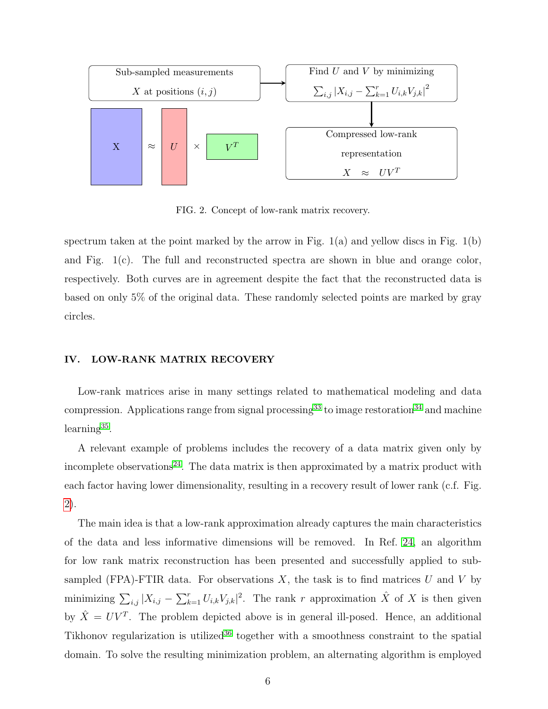

<span id="page-5-0"></span>FIG. 2. Concept of low-rank matrix recovery.

spectrum taken at the point marked by the arrow in Fig.  $1(a)$  and yellow discs in Fig.  $1(b)$ and Fig. 1(c). The full and reconstructed spectra are shown in blue and orange color, respectively. Both curves are in agreement despite the fact that the reconstructed data is based on only 5% of the original data. These randomly selected points are marked by gray circles.

# <span id="page-5-1"></span>IV. LOW-RANK MATRIX RECOVERY

Low-rank matrices arise in many settings related to mathematical modeling and data compression. Applications range from signal processing<sup>[33](#page-13-5)</sup> to image restoration<sup>[34](#page-13-6)</sup> and machine learning<sup>[35](#page-13-7)</sup>.

A relevant example of problems includes the recovery of a data matrix given only by incomplete observations<sup>[24](#page-12-10)</sup>. The data matrix is then approximated by a matrix product with each factor having lower dimensionality, resulting in a recovery result of lower rank (c.f. Fig. [2\)](#page-5-0).

The main idea is that a low-rank approximation already captures the main characteristics of the data and less informative dimensions will be removed. In Ref. [24,](#page-12-10) an algorithm for low rank matrix reconstruction has been presented and successfully applied to subsampled (FPA)-FTIR data. For observations  $X$ , the task is to find matrices U and V by minimizing  $\sum_{i,j} |X_{i,j} - \sum_{k=1}^r U_{i,k} V_{j,k}|^2$ . The rank r approximation  $\hat{X}$  of X is then given by  $\hat{X} = UV^T$ . The problem depicted above is in general ill-posed. Hence, an additional Tikhonov regularization is utilized<sup>[36](#page-13-8)</sup> together with a smoothness constraint to the spatial domain. To solve the resulting minimization problem, an alternating algorithm is employed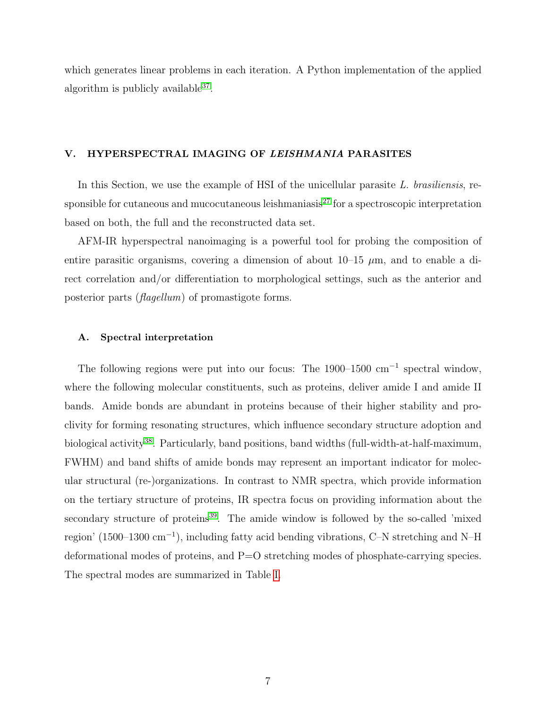which generates linear problems in each iteration. A Python implementation of the applied algorithm is publicly available<sup>[37](#page-13-9)</sup>.

#### V. HYPERSPECTRAL IMAGING OF LEISHMANIA PARASITES

In this Section, we use the example of HSI of the unicellular parasite  $L$ . brasiliensis, re-sponsible for cutaneous and mucocutaneous leishmaniasis<sup>[27](#page-12-12)</sup> for a spectroscopic interpretation based on both, the full and the reconstructed data set.

AFM-IR hyperspectral nanoimaging is a powerful tool for probing the composition of entire parasitic organisms, covering a dimension of about  $10-15 \mu m$ , and to enable a direct correlation and/or differentiation to morphological settings, such as the anterior and posterior parts (flagellum) of promastigote forms.

#### A. Spectral interpretation

The following regions were put into our focus: The 1900–1500 cm<sup>-1</sup> spectral window, where the following molecular constituents, such as proteins, deliver amide I and amide II bands. Amide bonds are abundant in proteins because of their higher stability and proclivity for forming resonating structures, which influence secondary structure adoption and biological activity<sup>[38](#page-13-10)</sup>. Particularly, band positions, band widths (full-width-at-half-maximum, FWHM) and band shifts of amide bonds may represent an important indicator for molecular structural (re-)organizations. In contrast to NMR spectra, which provide information on the tertiary structure of proteins, IR spectra focus on providing information about the secondary structure of proteins<sup>[39](#page-13-11)</sup>. The amide window is followed by the so-called 'mixed region' (1500–1300 cm<sup>−</sup><sup>1</sup> ), including fatty acid bending vibrations, C–N stretching and N–H deformational modes of proteins, and P=O stretching modes of phosphate-carrying species. The spectral modes are summarized in Table [I.](#page-7-0)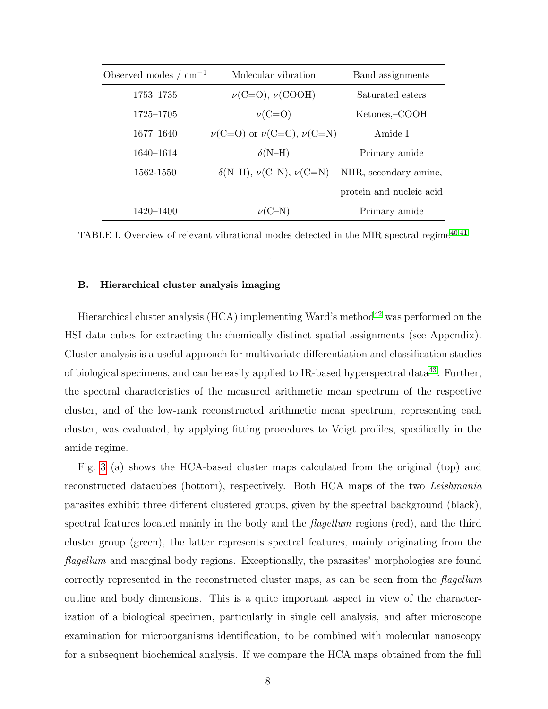| Observed modes $/m^{-1}$ | Molecular vibration                     | Band assignments         |
|--------------------------|-----------------------------------------|--------------------------|
| 1753–1735                | $\nu(C=O), \nu(COOH)$                   | Saturated esters         |
| 1725–1705                | $\nu(C=O)$                              | Ketones,-COOH            |
| 1677-1640                | $\nu(C=O)$ or $\nu(C=C)$ , $\nu(C=N)$   | Amide I                  |
| 1640-1614                | $\delta(N-H)$                           | Primary amide            |
| 1562-1550                | $\delta(N-H)$ , $\nu(C-N)$ , $\nu(C=N)$ | NHR, secondary amine,    |
|                          |                                         | protein and nucleic acid |
| 1420–1400                | $\nu$ (C-N)                             | Primary amide            |

<span id="page-7-0"></span>TABLE I. Overview of relevant vibrational modes detected in the MIR spectral regime<sup> $40,41$  $40,41$ </sup>

.

#### B. Hierarchical cluster analysis imaging

Hierarchical cluster analysis (HCA) implementing Ward's method<sup>[42](#page-14-1)</sup> was performed on the HSI data cubes for extracting the chemically distinct spatial assignments (see Appendix). Cluster analysis is a useful approach for multivariate differentiation and classification studies of biological specimens, and can be easily applied to IR-based hyperspectral data<sup>[43](#page-14-2)</sup>. Further, the spectral characteristics of the measured arithmetic mean spectrum of the respective cluster, and of the low-rank reconstructed arithmetic mean spectrum, representing each cluster, was evaluated, by applying fitting procedures to Voigt profiles, specifically in the amide regime.

Fig. [3](#page-8-0) (a) shows the HCA-based cluster maps calculated from the original (top) and reconstructed datacubes (bottom), respectively. Both HCA maps of the two Leishmania parasites exhibit three different clustered groups, given by the spectral background (black), spectral features located mainly in the body and the *flagellum* regions (red), and the third cluster group (green), the latter represents spectral features, mainly originating from the flagellum and marginal body regions. Exceptionally, the parasites' morphologies are found correctly represented in the reconstructed cluster maps, as can be seen from the flagellum outline and body dimensions. This is a quite important aspect in view of the characterization of a biological specimen, particularly in single cell analysis, and after microscope examination for microorganisms identification, to be combined with molecular nanoscopy for a subsequent biochemical analysis. If we compare the HCA maps obtained from the full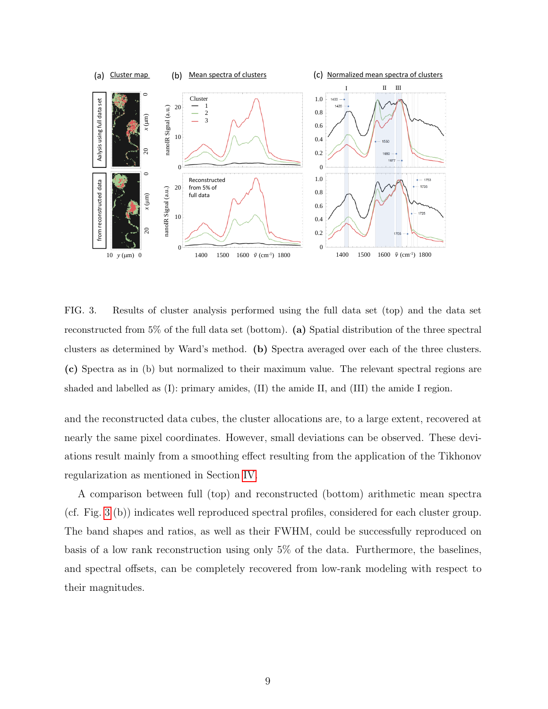

<span id="page-8-0"></span>FIG. 3. Results of cluster analysis performed using the full data set (top) and the data set reconstructed from 5% of the full data set (bottom). (a) Spatial distribution of the three spectral clusters as determined by Ward's method. (b) Spectra averaged over each of the three clusters. (c) Spectra as in (b) but normalized to their maximum value. The relevant spectral regions are shaded and labelled as (I): primary amides, (II) the amide II, and (III) the amide I region.

and the reconstructed data cubes, the cluster allocations are, to a large extent, recovered at nearly the same pixel coordinates. However, small deviations can be observed. These deviations result mainly from a smoothing effect resulting from the application of the Tikhonov regularization as mentioned in Section [IV.](#page-5-1)

A comparison between full (top) and reconstructed (bottom) arithmetic mean spectra (cf. Fig. [3](#page-8-0) (b)) indicates well reproduced spectral profiles, considered for each cluster group. The band shapes and ratios, as well as their FWHM, could be successfully reproduced on basis of a low rank reconstruction using only 5% of the data. Furthermore, the baselines, and spectral offsets, can be completely recovered from low-rank modeling with respect to their magnitudes.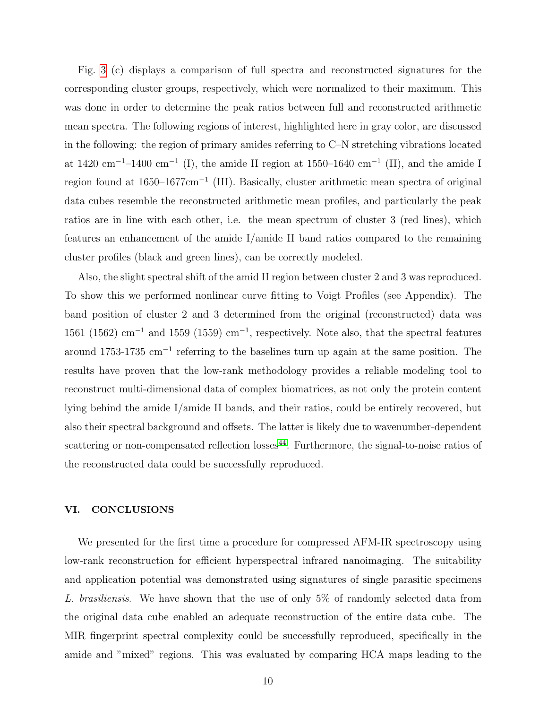Fig. [3](#page-8-0) (c) displays a comparison of full spectra and reconstructed signatures for the corresponding cluster groups, respectively, which were normalized to their maximum. This was done in order to determine the peak ratios between full and reconstructed arithmetic mean spectra. The following regions of interest, highlighted here in gray color, are discussed in the following: the region of primary amides referring to C–N stretching vibrations located at 1420 cm<sup>-1</sup>-1400 cm<sup>-1</sup> (I), the amide II region at 1550–1640 cm<sup>-1</sup> (II), and the amide I region found at 1650–1677cm<sup>-1</sup> (III). Basically, cluster arithmetic mean spectra of original data cubes resemble the reconstructed arithmetic mean profiles, and particularly the peak ratios are in line with each other, i.e. the mean spectrum of cluster 3 (red lines), which features an enhancement of the amide I/amide II band ratios compared to the remaining cluster profiles (black and green lines), can be correctly modeled.

Also, the slight spectral shift of the amid II region between cluster 2 and 3 was reproduced. To show this we performed nonlinear curve fitting to Voigt Profiles (see Appendix). The band position of cluster 2 and 3 determined from the original (reconstructed) data was  $1561$  (1562) cm<sup>-1</sup> and 1559 (1559) cm<sup>-1</sup>, respectively. Note also, that the spectral features around 1753-1735 cm<sup>−</sup><sup>1</sup> referring to the baselines turn up again at the same position. The results have proven that the low-rank methodology provides a reliable modeling tool to reconstruct multi-dimensional data of complex biomatrices, as not only the protein content lying behind the amide I/amide II bands, and their ratios, could be entirely recovered, but also their spectral background and offsets. The latter is likely due to wavenumber-dependent scattering or non-compensated reflection  $losses<sup>44</sup>$  $losses<sup>44</sup>$  $losses<sup>44</sup>$ . Furthermore, the signal-to-noise ratios of the reconstructed data could be successfully reproduced.

## VI. CONCLUSIONS

We presented for the first time a procedure for compressed AFM-IR spectroscopy using low-rank reconstruction for efficient hyperspectral infrared nanoimaging. The suitability and application potential was demonstrated using signatures of single parasitic specimens L. brasiliensis. We have shown that the use of only 5% of randomly selected data from the original data cube enabled an adequate reconstruction of the entire data cube. The MIR fingerprint spectral complexity could be successfully reproduced, specifically in the amide and "mixed" regions. This was evaluated by comparing HCA maps leading to the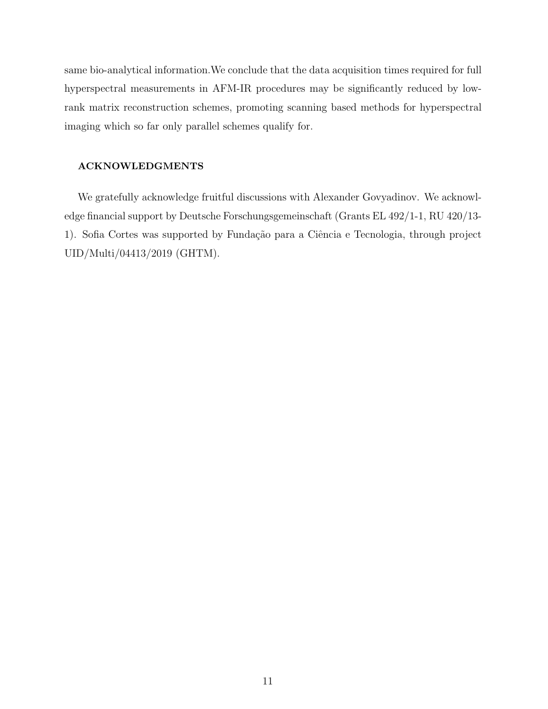same bio-analytical information.We conclude that the data acquisition times required for full hyperspectral measurements in AFM-IR procedures may be significantly reduced by lowrank matrix reconstruction schemes, promoting scanning based methods for hyperspectral imaging which so far only parallel schemes qualify for.

#### ACKNOWLEDGMENTS

We gratefully acknowledge fruitful discussions with Alexander Govyadinov. We acknowledge financial support by Deutsche Forschungsgemeinschaft (Grants EL 492/1-1, RU 420/13- 1). Sofia Cortes was supported by Fundação para a Ciência e Tecnologia, through project UID/Multi/04413/2019 (GHTM).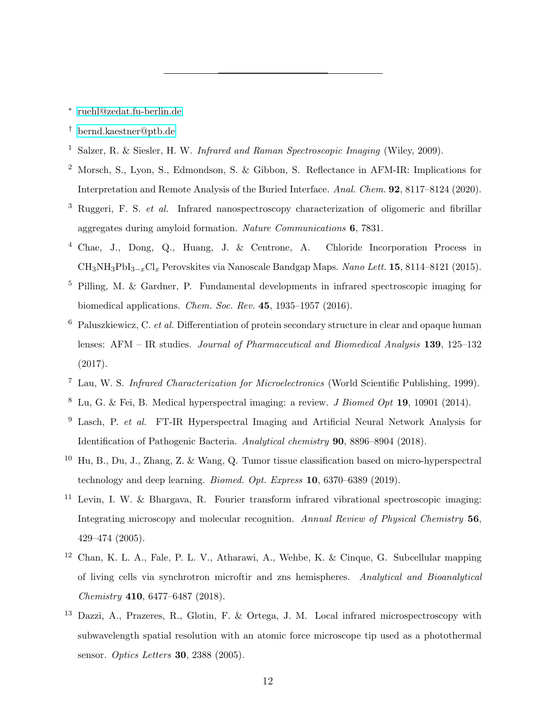<span id="page-11-0"></span>∗ [ruehl@zedat.fu-berlin.de](mailto:ruehl@zedat.fu-berlin.de)

- <span id="page-11-1"></span>† [bernd.kaestner@ptb.de](mailto:bernd.kaestner@ptb.de)
- <span id="page-11-2"></span><sup>1</sup> Salzer, R. & Siesler, H. W. *Infrared and Raman Spectroscopic Imaging* (Wiley, 2009).
- <span id="page-11-3"></span><sup>2</sup> Morsch, S., Lyon, S., Edmondson, S. & Gibbon, S. Reflectance in AFM-IR: Implications for Interpretation and Remote Analysis of the Buried Interface. Anal. Chem. 92, 8117–8124 (2020).
- <span id="page-11-4"></span><sup>3</sup> Ruggeri, F. S. *et al.* Infrared nanospectroscopy characterization of oligomeric and fibrillar aggregates during amyloid formation. Nature Communications 6, 7831.
- <span id="page-11-5"></span><sup>4</sup> Chae, J., Dong, Q., Huang, J. & Centrone, A. Chloride Incorporation Process in  $CH_3NH_3PbI_{3-r}Cl_r$  Perovskites via Nanoscale Bandgap Maps. Nano Lett. 15, 8114–8121 (2015).
- <span id="page-11-6"></span><sup>5</sup> Pilling, M. & Gardner, P. Fundamental developments in infrared spectroscopic imaging for biomedical applications. Chem. Soc. Rev. 45, 1935–1957 (2016).
- <span id="page-11-7"></span> $6$  Paluszkiewicz, C. et al. Differentiation of protein secondary structure in clear and opaque human lenses: AFM – IR studies. Journal of Pharmaceutical and Biomedical Analysis 139, 125–132 (2017).
- <span id="page-11-8"></span><sup>7</sup> Lau, W. S. Infrared Characterization for Microelectronics (World Scientific Publishing, 1999).
- <span id="page-11-9"></span><sup>8</sup> Lu, G. & Fei, B. Medical hyperspectral imaging: a review. *J Biomed Opt* **19**, 10901 (2014).
- <sup>9</sup> Lasch, P. et al. FT-IR Hyperspectral Imaging and Artificial Neural Network Analysis for Identification of Pathogenic Bacteria. Analytical chemistry 90, 8896–8904 (2018).
- <span id="page-11-10"></span><sup>10</sup> Hu, B., Du, J., Zhang, Z. & Wang, Q. Tumor tissue classification based on micro-hyperspectral technology and deep learning. Biomed. Opt. Express 10, 6370–6389 (2019).
- <span id="page-11-11"></span><sup>11</sup> Levin, I. W. & Bhargava, R. Fourier transform infrared vibrational spectroscopic imaging: Integrating microscopy and molecular recognition. Annual Review of Physical Chemistry 56, 429–474 (2005).
- <span id="page-11-12"></span><sup>12</sup> Chan, K. L. A., Fale, P. L. V., Atharawi, A., Wehbe, K. & Cinque, G. Subcellular mapping of living cells via synchrotron microftir and zns hemispheres. Analytical and Bioanalytical Chemistry 410, 6477–6487 (2018).
- <span id="page-11-13"></span><sup>13</sup> Dazzi, A., Prazeres, R., Glotin, F. & Ortega, J. M. Local infrared microspectroscopy with subwavelength spatial resolution with an atomic force microscope tip used as a photothermal sensor. Optics Letters 30, 2388 (2005).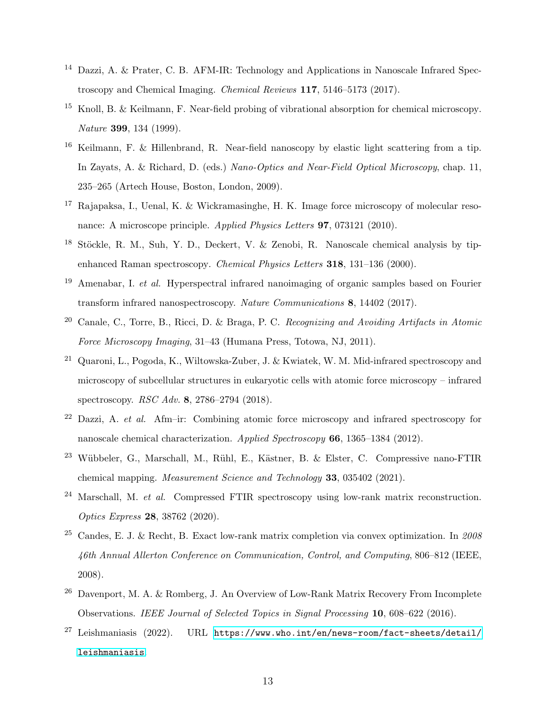- <span id="page-12-0"></span><sup>14</sup> Dazzi, A. & Prater, C. B. AFM-IR: Technology and Applications in Nanoscale Infrared Spectroscopy and Chemical Imaging. Chemical Reviews 117, 5146–5173 (2017).
- <span id="page-12-1"></span><sup>15</sup> Knoll, B. & Keilmann, F. Near-field probing of vibrational absorption for chemical microscopy. Nature 399, 134 (1999).
- <span id="page-12-2"></span><sup>16</sup> Keilmann, F. & Hillenbrand, R. Near-field nanoscopy by elastic light scattering from a tip. In Zayats, A. & Richard, D. (eds.) Nano-Optics and Near-Field Optical Microscopy, chap. 11, 235–265 (Artech House, Boston, London, 2009).
- <span id="page-12-3"></span> $17$  Rajapaksa, I., Uenal, K. & Wickramasinghe, H. K. Image force microscopy of molecular resonance: A microscope principle. Applied Physics Letters 97, 073121 (2010).
- <span id="page-12-4"></span> $18$  Stöckle, R. M., Suh, Y. D., Deckert, V. & Zenobi, R. Nanoscale chemical analysis by tipenhanced Raman spectroscopy. Chemical Physics Letters 318, 131–136 (2000).
- <span id="page-12-5"></span><sup>19</sup> Amenabar, I. *et al.* Hyperspectral infrared nanoimaging of organic samples based on Fourier transform infrared nanospectroscopy. Nature Communications 8, 14402 (2017).
- <span id="page-12-6"></span><sup>20</sup> Canale, C., Torre, B., Ricci, D. & Braga, P. C. Recognizing and Avoiding Artifacts in Atomic Force Microscopy Imaging, 31–43 (Humana Press, Totowa, NJ, 2011).
- <span id="page-12-7"></span><sup>21</sup> Quaroni, L., Pogoda, K., Wiltowska-Zuber, J. & Kwiatek, W. M. Mid-infrared spectroscopy and microscopy of subcellular structures in eukaryotic cells with atomic force microscopy – infrared spectroscopy. RSC Adv. 8, 2786–2794 (2018).
- <span id="page-12-8"></span> $22$  Dazzi, A. *et al.* Afm–ir: Combining atomic force microscopy and infrared spectroscopy for nanoscale chemical characterization. Applied Spectroscopy 66, 1365–1384 (2012).
- <span id="page-12-9"></span><sup>23</sup> Wübbeler, G., Marschall, M., Rühl, E., Kästner, B. & Elster, C. Compressive nano-FTIR chemical mapping. Measurement Science and Technology 33, 035402 (2021).
- <span id="page-12-10"></span> $^{24}$  Marschall, M. *et al.* Compressed FTIR spectroscopy using low-rank matrix reconstruction. Optics Express 28, 38762 (2020).
- <sup>25</sup> Candes, E. J. & Recht, B. Exact low-rank matrix completion via convex optimization. In  $2008$ 46th Annual Allerton Conference on Communication, Control, and Computing, 806–812 (IEEE, 2008).
- <span id="page-12-11"></span> $26$  Davenport, M. A. & Romberg, J. An Overview of Low-Rank Matrix Recovery From Incomplete Observations. IEEE Journal of Selected Topics in Signal Processing 10, 608–622 (2016).
- <span id="page-12-12"></span> $^{27}$  Leishmaniasis (2022). URL [https://www.who.int/en/news-room/fact-sheets/detail/](https://www.who.int/en/news-room/fact-sheets/detail/leishmaniasis) [leishmaniasis](https://www.who.int/en/news-room/fact-sheets/detail/leishmaniasis).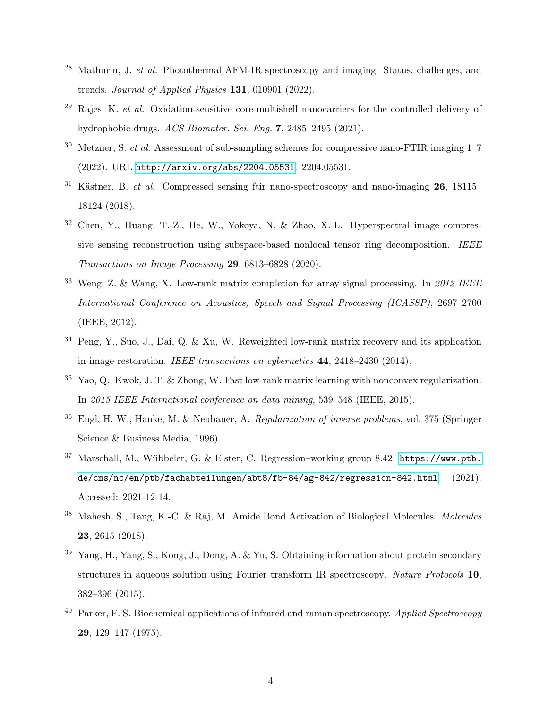- <span id="page-13-0"></span> $^{28}$  Mathurin, J. *et al.* Photothermal AFM-IR spectroscopy and imaging: Status, challenges, and trends. Journal of Applied Physics 131, 010901 (2022).
- <span id="page-13-1"></span>Rajes, K. et al. Oxidation-sensitive core-multishell nanocarriers for the controlled delivery of hydrophobic drugs. ACS Biomater. Sci. Eng. 7, 2485–2495 (2021).
- <span id="page-13-2"></span> $30$  Metzner, S. *et al.* Assessment of sub-sampling schemes for compressive nano-FTIR imaging  $1-7$ (2022). URL <http://arxiv.org/abs/2204.05531>. 2204.05531.
- <span id="page-13-3"></span> $31$  Kästner, B. *et al.* Compressed sensing ftir nano-spectroscopy and nano-imaging 26, 18115– 18124 (2018).
- <span id="page-13-4"></span><sup>32</sup> Chen, Y., Huang, T.-Z., He, W., Yokoya, N. & Zhao, X.-L. Hyperspectral image compressive sensing reconstruction using subspace-based nonlocal tensor ring decomposition. IEEE Transactions on Image Processing 29, 6813–6828 (2020).
- <span id="page-13-5"></span><sup>33</sup> Weng, Z. & Wang, X. Low-rank matrix completion for array signal processing. In 2012 IEEE International Conference on Acoustics, Speech and Signal Processing (ICASSP), 2697–2700 (IEEE, 2012).
- <span id="page-13-6"></span><sup>34</sup> Peng, Y., Suo, J., Dai, Q. & Xu, W. Reweighted low-rank matrix recovery and its application in image restoration. IEEE transactions on cybernetics 44, 2418–2430 (2014).
- <span id="page-13-7"></span> $35$  Yao, Q., Kwok, J. T. & Zhong, W. Fast low-rank matrix learning with nonconvex regularization. In 2015 IEEE International conference on data mining, 539–548 (IEEE, 2015).
- <span id="page-13-8"></span><sup>36</sup> Engl, H. W., Hanke, M. & Neubauer, A. Regularization of inverse problems, vol. 375 (Springer Science & Business Media, 1996).
- <span id="page-13-9"></span><sup>37</sup> Marschall, M., Wübbeler, G. & Elster, C. Regression–working group 8.42. [https://www.ptb.](https://www.ptb.de/cms/nc/en/ptb/fachabteilungen/abt8/fb-84/ag-842/regression-842.html) [de/cms/nc/en/ptb/fachabteilungen/abt8/fb-84/ag-842/regression-842.html](https://www.ptb.de/cms/nc/en/ptb/fachabteilungen/abt8/fb-84/ag-842/regression-842.html) (2021). Accessed: 2021-12-14.
- <span id="page-13-10"></span><sup>38</sup> Mahesh, S., Tang, K.-C. & Raj, M. Amide Bond Activation of Biological Molecules. Molecules 23, 2615 (2018).
- <span id="page-13-11"></span>Yang, H., Yang, S., Kong, J., Dong, A. & Yu, S. Obtaining information about protein secondary structures in aqueous solution using Fourier transform IR spectroscopy. Nature Protocols 10, 382–396 (2015).
- <span id="page-13-12"></span> $^{40}$  Parker, F. S. Biochemical applications of infrared and raman spectroscopy. Applied Spectroscopy 29, 129–147 (1975).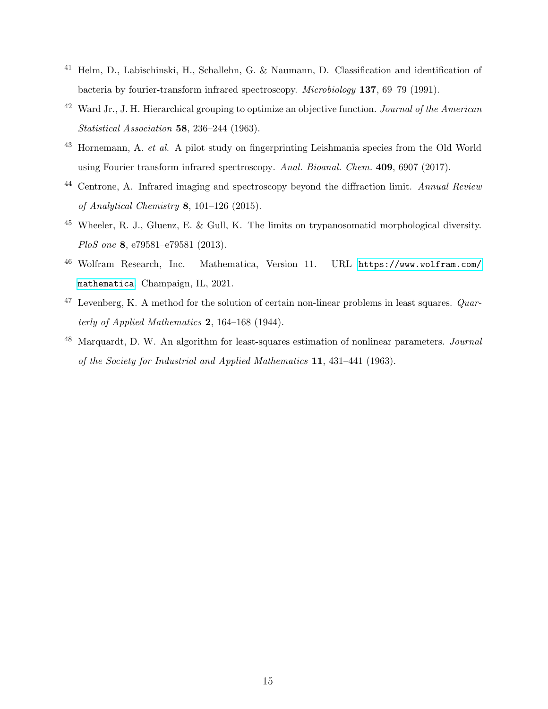- <span id="page-14-0"></span><sup>41</sup> Helm, D., Labischinski, H., Schallehn, G. & Naumann, D. Classification and identification of bacteria by fourier-transform infrared spectroscopy. Microbiology 137, 69–79 (1991).
- <span id="page-14-1"></span> $42$  Ward Jr., J. H. Hierarchical grouping to optimize an objective function. *Journal of the American* Statistical Association 58, 236–244 (1963).
- <span id="page-14-2"></span> $43$  Hornemann, A. *et al.* A pilot study on fingerprinting Leishmania species from the Old World using Fourier transform infrared spectroscopy. Anal. Bioanal. Chem. 409, 6907 (2017).
- <span id="page-14-3"></span><sup>44</sup> Centrone, A. Infrared imaging and spectroscopy beyond the diffraction limit. Annual Review of Analytical Chemistry 8, 101–126 (2015).
- <span id="page-14-4"></span> $^{45}$  Wheeler, R. J., Gluenz, E. & Gull, K. The limits on trypanosomatid morphological diversity. PloS one 8, e79581–e79581 (2013).
- <span id="page-14-5"></span><sup>46</sup> Wolfram Research, Inc. Mathematica, Version 11. URL [https://www.wolfram.com/](https://www.wolfram.com/mathematica) [mathematica](https://www.wolfram.com/mathematica). Champaign, IL, 2021.
- <span id="page-14-6"></span> $47$  Levenberg, K. A method for the solution of certain non-linear problems in least squares. Quarterly of Applied Mathematics 2, 164–168 (1944).
- <span id="page-14-7"></span><sup>48</sup> Marquardt, D. W. An algorithm for least-squares estimation of nonlinear parameters. *Journal* of the Society for Industrial and Applied Mathematics 11, 431–441 (1963).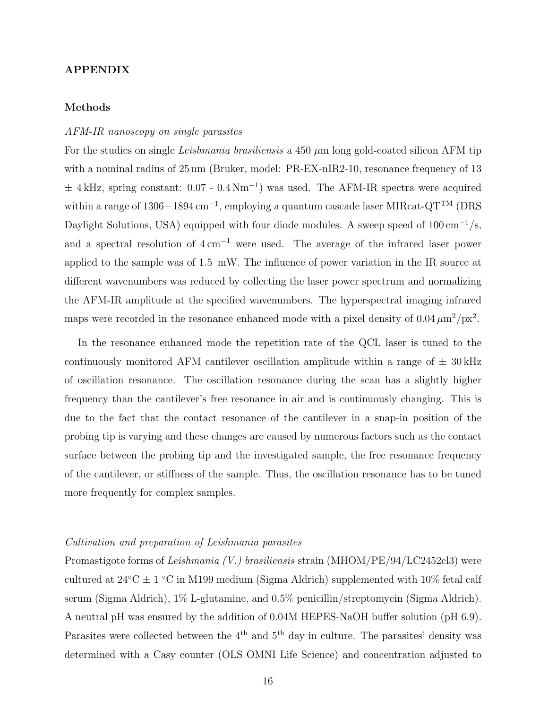# APPENDIX

# Methods

# AFM-IR nanoscopy on single parasites

For the studies on single Leishmania brasiliensis a 450  $\mu$ m long gold-coated silicon AFM tip with a nominal radius of 25 nm (Bruker, model: PR-EX-nIR2-10, resonance frequency of 13  $±$  4 kHz, spring constant: 0.07 - 0.4 Nm<sup>-1</sup>) was used. The AFM-IR spectra were acquired within a range of 1306 – 1894 cm<sup>-1</sup>, employing a quantum cascade laser MIRcat-QT<sup>TM</sup> (DRS Daylight Solutions, USA) equipped with four diode modules. A sweep speed of  $100 \text{ cm}^{-1}\text{/s}$ , and a spectral resolution of  $4 \text{ cm}^{-1}$  were used. The average of the infrared laser power applied to the sample was of 1.5 mW. The influence of power variation in the IR source at different wavenumbers was reduced by collecting the laser power spectrum and normalizing the AFM-IR amplitude at the specified wavenumbers. The hyperspectral imaging infrared maps were recorded in the resonance enhanced mode with a pixel density of  $0.04 \mu m^2 / px^2$ .

In the resonance enhanced mode the repetition rate of the QCL laser is tuned to the continuously monitored AFM cantilever oscillation amplitude within a range of  $\pm$  30 kHz of oscillation resonance. The oscillation resonance during the scan has a slightly higher frequency than the cantilever's free resonance in air and is continuously changing. This is due to the fact that the contact resonance of the cantilever in a snap-in position of the probing tip is varying and these changes are caused by numerous factors such as the contact surface between the probing tip and the investigated sample, the free resonance frequency of the cantilever, or stiffness of the sample. Thus, the oscillation resonance has to be tuned more frequently for complex samples.

## Cultivation and preparation of Leishmania parasites

Promastigote forms of Leishmania (V.) brasiliensis strain (MHOM/PE/94/LC2452cl3) were cultured at  $24^{\circ}\text{C} \pm 1^{\circ}\text{C}$  in M199 medium (Sigma Aldrich) supplemented with 10% fetal calf serum (Sigma Aldrich), 1% L-glutamine, and 0.5% penicillin/streptomycin (Sigma Aldrich). A neutral pH was ensured by the addition of 0.04M HEPES-NaOH buffer solution (pH 6.9). Parasites were collected between the 4<sup>th</sup> and 5<sup>th</sup> day in culture. The parasites' density was determined with a Casy counter (OLS OMNI Life Science) and concentration adjusted to